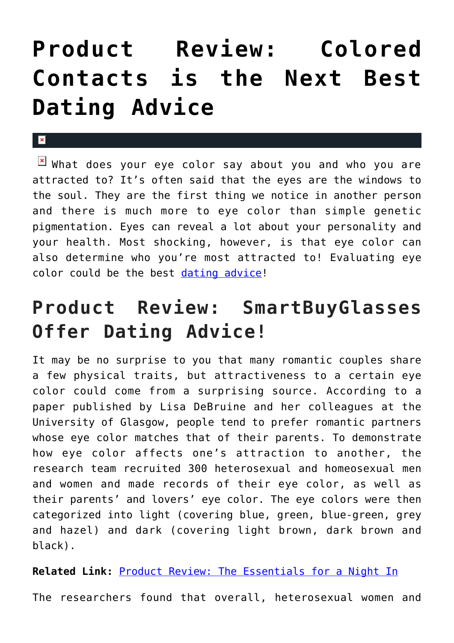## **[Product Review: Colored](https://cupidspulse.com/129323/product-review-smartbuyglasses/) [Contacts is the Next Best](https://cupidspulse.com/129323/product-review-smartbuyglasses/) [Dating Advice](https://cupidspulse.com/129323/product-review-smartbuyglasses/)**

## $\mathbf x$

**E** What does your eye color say about you and who you are attracted to? It's often said that the eyes are the windows to the soul. They are the first thing we notice in another person and there is much more to eye color than simple genetic pigmentation. Eyes can reveal a lot about your personality and your health. Most shocking, however, is that eye color can also determine who you're most attracted to! Evaluating eye color could be the best [dating advice](http://cupidspulse.com/relationship-experts/)!

## **Product Review: SmartBuyGlasses Offer Dating Advice!**

It may be no surprise to you that many romantic couples share a few physical traits, but attractiveness to a certain eye color could come from a surprising source. According to a paper published by Lisa DeBruine and her colleagues at the University of Glasgow, people tend to prefer romantic partners whose eye color matches that of their parents. To demonstrate how eye color affects one's attraction to another, the research team recruited 300 heterosexual and homeosexual men and women and made records of their eye color, as well as their parents' and lovers' eye color. The eye colors were then categorized into light (covering blue, green, blue-green, grey and hazel) and dark (covering light brown, dark brown and black).

**Related Link:** [Product Review: The Essentials for a Night In](http://cupidspulse.com/128844/product-review-essentials-date-night/)

The researchers found that overall, heterosexual women and